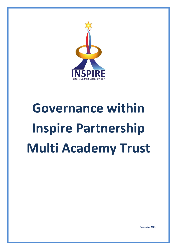

# **Governance within Inspire Partnership Multi Academy Trust**

**November 2021**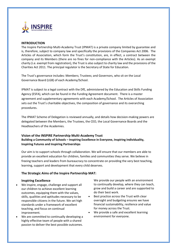

# **INTRODUCTION**

The Inspire Partnership Multi-Academy Trust (IPMAT) is a private company limited by guarantee and is, therefore, subject to company law and specifically the provisions of the Companies Act 2006. The Articles of Association, which form the Trust's constitution, are, in effect, a contract between the company and its Members (there are no fines for non-compliance with the Articles). As an exempt charity (i.e. exempt from registration), the Trust is also subject to charity law and the provisions of the Charities Act 2011. The principal regulator is the Secretary of State for Education.

The Trust's governance includes: Members; Trustees; and Governors, who sit on the Local Governance Board (LGB) of each Academy/School.

IPMAT is subject to a legal contract with the DfE, administered by the Education and Skills Funding Agency (ESFA), which can be found in the Funding Agreement document. There is a master agreement and supplementary agreements with each Academy/School. The Articles of Association sets out the Trust's charitable objectives, the composition of governance and its overarching procedures.

The IPMAT Scheme of Delegation is reviewed annually, and details how decision-making powers are delegated between the Members, the Trustees, the CEO, the Local Governance Boards and the Headteachers of the Academies.

# **Vision of the INSPIRE Partnership Multi-Academy Trust Building a Community of Schools – Inspiring Excellence in Everyone, Inspiring Individuality, Inspiring Futures and Inspiring Partnerships**

Our aim is to support schools through collaboration. We will ensure that our members are able to provide an excellent education for children, families and communities they serve. We believe in freeing teachers and leaders from bureaucracy to concentrate on providing the very best teaching, learning, support and development that every child deserves.

## **The Strategic Aims of the Inspire Partnership MAT:**

#### **Inspiring Excellence**

- We inspire, engage, challenge and support all our children to achieve excellent learning outcomes, equipping them with the values, skills, qualities and aptitudes necessary to be responsible citizens in the future. We set high standards under a framework of excellent teaching, and focus on continual improvement.
- We are committed to continually developing a highly effective team of people with a shared passion to deliver the best possible outcomes.

We provide our people with an environment to continually develop, where they can teach, grow and build a career and are supported to do their best work.

- Best practice across the Trust with clear oversight and budgeting ensures we have financial sustainability, resilience and value for money across the Trust.
- We provide a safe and excellent learning environment for everyone.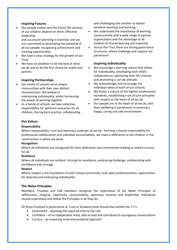# **Inspiring Futures**

• Our people matter and the future life chances of our children depend on them. Effective leadership

and succession planning is essential, and we are committed to developing the potential of all our people, recognising achievement and creating opportunities.

- We have a clear strategy for the growth of our Trust.
- We have an ambition to be the best at what we do and to be the first choice for pupils and parents.

# **Inspiring Partnerships**

- Our family of schools serve unique communities with their own distinct characteristics. We believe in maintaining individuality, whilst harnessing the power of working together.
- As a family of schools, we take collective responsibility for optimum outcomes for all children, sharing best practice, collaborating

and challenging one another to deliver excellent teaching and learning.

- We understand the importance of working constructively with a wide range of partner organisations and the advantage to all children of shared learning and expertise.
- Across the Trust there are strong governance structures, where challenge and support are paramount.

## **Inspiring Individuality**

- We encourage a learning culture that allows for individuality, developing each child's independence, optimising their life chances and promoting a can-do attitude.
- We acknowledge and encourage the individual ethos of each of our schools.
- We foster a culture of the highest professional standards, establishing a set of core principles with respect at the heart of all we do.
- Our people are at the heart of all we do, and their wellbeing is paramount to ensuring a happy, caring and safe environment.

# **Our Values**

## **Responsibility**

Where responsibility, trust and openness underpin all we do. Forming a shared responsibility for professional collaboration and individual accountability, we make a difference to the children in the communities in which we serve.

#### **Recognition**

Where all individuals are recognised for their dedication and commitment leading to shared success for all.

## **Resilience**

Where all individuals are resilient: striving for excellence, embracing challenge, collaborating with confidence and courage

## **Respect**

Where respect is the foundation of each school community, built upon professionalism, appreciation for diversity and embracing individuality.

## **The Nolan Principles**

Members, Trustees and LGB members recognise the importance of the Nolan Principles of selflessness, integrity, objectivity, accountability, openness, honesty and leadership. Individuals should understand and follow the Principles in all they do.

All those involved in governance at Trust or Academy level should also exhibit the 7 C's:

- Committed devoting the required time to the role
- Confident of an independent mind, able to lead and contribute to courageous conversations
- Curious an enquiring mind and analytical approach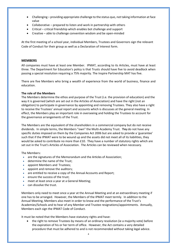- Challenging providing appropriate challenge to the status quo, not taking information at face value
- Collaborative prepared to listen and work in partnership with others
- Critical critical friendship which enables bot challenge and support
- Creative able to challenge convention wisdom and be open-minded

At the first meeting of a school year, individual Members, Trustees and Governors sign the relevant Code of Conduct for their group as well as a Declaration of Interest form.

## **MEMBERS**

All companies must have at least one Member. IPMAT, according to its Articles, must have at least three. The Department for Education's policy is that Trusts should have five to avoid deadlock when passing a special resolution requiring a 75% majority. The Inspire Partnership MAT has five.

There are five Members who bring a wealth of experience from the world of business, finance and education.

# **The role of the Members**

The Members determine the ethos and purpose of the Trust (i.e. the provision of education) and the way it is governed (which are set out in the Articles of Association) and have the right (not an obligation) to participate in governance by appointing and removing Trustees. They also have a right to receive the Trustees' annual report and accounts which is discusses at the general meeting. In effect, the Members play an important role in overseeing and holding the Trustees to account for the governance arrangements of the Trust.

The Members are the equivalent of the shareholders in a commercial company but do not receive dividends. In simple terms, the Members "own" the Multi-Academy Trust. They do not have any specific duties imposed on them by the Companies Act 2006 but are asked to provide a 'guarantee' such that if the IPMAT were to be wound up and the assets did not meet all of its liabilities, they would be asked to contribute no more than £10. They have a number of statutory rights which are set out in the Trust's Articles of Association. The Articles can be reviewed when necessary.

The Members:

- are the signatures of the Memorandum and the Articles of Association;
- determine the name of the Trust;
- appoint Members and Trustees;
- appoint and remove the auditors;
- are entitled to receive a copy of the Annual Accounts and Report;
- ensure the success of the trust;
- meet at least once a year at a General Meeting;
- can dissolve the trust.

Members only need to meet once a year at the Annual Meeting and at an extraordinary meeting if one has to be arranged. However, the Members of the IPMAT meet termly. In addition to the Annual Meeting, Members also meet in order to know and the performance of the Trust's Academies/Schools and to hear of any Member and Trustee resignations/appointments. Annually, Members each sign the IPMAT Code of Conduct.

It must be noted that the Members have statutory rights and have:

• the right to remove Trustees by means of an ordinary resolution (ie a majority vote) before the expiration of his or her term of office. However, the Act contains a very detailed procedure that must be adhered to and is not recommended without taking legal advice.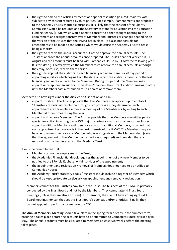- the right to amend the Articles by means of a special resolution (ie a 75% majority vote) subject to any consent required by third parties. For example, if amendments are proposed to the Academy Trust's charitable purposes, it is likely that the consent of the Charity Commission would be required and the Secretary of State for Education (via the Education Funding Agency (EFA)), which would need to consent to either changes relating to the appointment and resignation/removal of Members and Trustees or changes depending on the version of the Articles that the IPMAT has in place. It is also not possible for amendments to be made to the Articles which would cause the Academy Trust to cease being a charity.
- the right to receive the annual accounts but not to approve the annual accounts. The Trustees approve the annual accounts once prepared. The Trust's financial year end is 31 August and the accounts must be filed with Companies House by 31 May the following year. It is this date (31 May) by which the Members must receive the annual accounts although they may, of course, receive them earlier.
- the right to appoint the auditors In each financial year when there is a 28 day period of appointing auditors which begins from the date on which the audited accounts for the last financial year were circulated to the Members. During this period, the Members may appoint or re-appoint an auditor. If this doesn't happen, the current auditor remains in office until the Members pass a resolution to re-appoint or remove them.

Members also have rights under the Articles of Association and can:

- appoint Trustees. The Articles provide that the Members may appoint up to a total of 11Trustees by ordinary resolution through such process as they determine. Such appointments can take place either at a meeting of the Members or by writing to each Member at other times during the year.
- appoint and remove Members. The Articles provide that the Members may either pass a special resolution in writing (i.e. a 75% majority vote) or a written unanimous resolution to appoint additional Members and to remove any such additional Members, provided that such appointment or removal is in the best interests of the IPMAT. The Members may also be able to agree to remove any Member who was a signatory to the Memorandum (save that the agreement of the Member concerned is not required) and provided that such removal is in the best interests of the Academy Trust.

It must be remembered that:

- Members cannot be employees of the Trust;
- the Academies Financial Handbook requires the appointment of any new Member to be notified to the EFA (via Edubase) within 14 days of the appointment;
- the appointment and resignation / removal of Members does not need to be notified to Companies House;
- the Academy Trust's statutory books / registers should include a register of Members which should be kept up-to-date particularly on appointment and removal / resignation.

Members cannot tell the Trustees how to run the Trust. The business of the IPMAT is primarily conducted by the Trust Board and not by the Members. They cannot attend Trust Board meetings (unless they are also a Trustee). Furthermore, they do not have voting rights at Trust Board meetings nor can they set the Trust Board's agendas and/or priorities. Finally, they cannot appoint or performance manage the CEO.

**The Annual Members' Meeting** should take place in the spring term or early in the summer term, ensuring it takes place before the accounts have to be submitted to Companies House by last day in May. The annual accounts must be circulated to Members at least two weeks before the meeting takes place.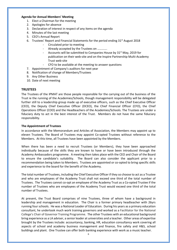#### **Agenda for Annual Members' Meeting**

- 1. Elect a Chairman for the meeting
- 2. Apologies for absence
- 3. Declaration of interest in respect of any items on the agenda
- 4. Minutes of the last meeting
- 5. CEO's Annual Report
- 6. Trustees' Report and Financial Statements for the period ending  $31<sup>st</sup>$  August 2018
	- Circulated prior to meeting
	- Already accepted by the Trustees on ………….
	- Accounts will be submitted to Companies House by 31<sup>st</sup> May, 2019 for publication on their web-site and on the Inspire Partnership Multi-Academy Trust web-site
	- CFO to be available at the meeting to answer questions
- 7. Appointment of Company's auditors for next year
- 8. Notification of change of Members/Trustees
- 9. Any Other Business
- 10. Date of next meeting

## **TRUSTEES**

The Trustees of the IPMAT are those people responsible for the carrying out of the business of the Trust ie the running of the Academies/Schools, though management responsibility will be delegated further still to a leadership group made up of executive officers, such as the Chief Executive Officer (CEO), the Deputy Chief Executive Officer (DCEO), the Chief Financial Officer (CFO), the Chief Operations Officer (COO) and the Headteachers of the Academies/Schools. The Trustees are under a fiduciary duty to act in the best interest of the Trust. Members do not have the same fiduciary responsibility.

## **The Appointment of Trustees**

In accordance with the Memorandum and Articles of Association, the Members may appoint up to eleven Trustees. The Board of Trustees may appoint Co-opted Trustees without reference to the Members. At this time, all Trustees have been appointed by the Members.

When there has been a need to recruit Trustees (or Members), they have been approached individually because of the skills they are known to have or have been introduced through the Academy Ambassadors programme. A meeting then takes place with the CEO and Chair of the Board to ensure the candidate's suitability. The Board can also consider the applicant prior to a recommendation being taken to Members. Trustees are appointed or co-opted to bring specific skills and experience to the board for the benefit of the Academy.

The total number of Trustees, including the Chief Executive Officer if they so choose to act as a Trustee and who are employees of the Academy Trust shall not exceed one third of the total number of Trustees. The Trustees cannot co-opt an employee of the Academy Trust as a Co-opted Trustee if the number of Trustees who are employees of the Academy Trust would exceed one third of the total number of Trustees.

At present, the Trust Board comprises of nine Trustees, three of whom have a background in leadership and management in education. The Chair is a former primary headteacher with 26yrs running four schools. He was a National Leader of Education. During his years as a primary education consultant, he undertook much work training governors and worked as a Facilitator for the National College's Chair of Governor Training Programme. The other Trustees with an educational background bring experience as a LA adviser, a senior leader at universities and a teacher. Other areas of expertise brought by the Trustees include: accountancy, banking, HR, education consultancy work covering all aspects of school and academy business management and finance, fire safety and H&S, school buildings and plant. One Trustee can offer both banking experience with work as a music teacher.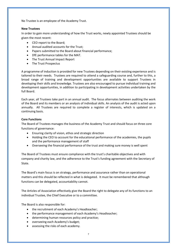No Trustee is an employee of the Academy Trust.

## **New Trustees**

In order to gain more understanding of how the Trust works, newly appointed Trustees should be given the most recent:

- CEO report to the Board;
- Annual audited accounts for the Trust;
- Papers submitted to the Board about financial performance;
- DfE performance tables for the MAT.
- The Trust Annual Impact Report
- The Trust Prospectus

A programme of induction is provided for new Trustees depending on their existing experience and is tailored to their needs. Trustees are required to attend a safeguarding course and, further to this, a broad range of training and development opportunities are available to support Trustees in developing their skills and knowledge. Trustees are also encouraged to pursue individual training and development opportunities, in addition to participating in development activities undertaken by the full Board.

Each year, all Trustees take part in an annual audit. The focus alternates between auditing the work of the Board and its members or an analysis of individual skills. An analysis of the audit is acted upon annually. All Trustees are required to complete a register of interests, which is updated on a continuing basis.

# **Core Functions**

The Board of Trustees manages the business of the Academy Trust and should focus on three core functions of governance:

- Ensuring clarity of vision, ethos and strategic direction
- Holding the CEO to account for the educational performance of the academies, the pupils and the performance management of staff
- Overseeing the financial performance of the trust and making sure money is well spent

The Board of Trustees must ensure compliance with the trust's charitable objectives and with company and charity law, and the adherence to the Trust's funding agreement with the Secretary of State.

The Board's main focus is on strategy, performance and assurance rather than on operational matters and this should be reflected in what is delegated. It must be remembered that although functions can be delegated, accountability cannot.

The Articles of Association effectively give the Board the right to delegate any of its functions to an individual Trustee, the Chief Executive or to a committee.

The Board is also responsible for:

- the recruitment of each Academy's Headteacher;
- the performance management of each Academy's Headteacher;
- determining human resources policy and practice;
- overseeing each Academy's budget;
- assessing the risks of each academy.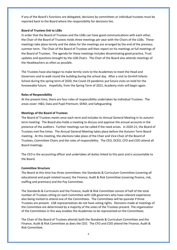If any of the Board's functions are delegated, decisions by committees or individual trustees must be reported back to the Board where the responsibility for decisions lies.

#### **Board of Trustees link to LGBs**

In order that the Board of Trustees and the LGBs can have good communications with each other, the Chair of the Board of Trustees holds three meetings per year with the Chairs of the LGBs. These meetings take place termly and the dates for the meetings are arranged by the end of the previous summer term. The Chair of the Board of Trustees will then report on his meetings at full meetings of the Board of Trustees. The agenda for these meetings includes disseminating good practice, Trust updates and questions brought by the LGB Chairs. The Chair of the Board also attends meetings of the Headteachers as often as possible.

The Trustees have also begun to make termly visits to the Academies to meet the Head and Governors and to walk round the building during the school day. After a visit to Girnhill Infants School during the spring term of 2020, the Covid-19 pandemic put future visits on hold for the foreseeable future. Hopefully, from the Spring Term of 2022, Academy visits will begin again.

#### **Roles of Responsibility**

At the present time, there are four roles of responsibility undertaken by individual Trustees. The areas cover: H&S; Data and Pupil Premium; SEND; and Safeguarding.

#### **Meetings of the Board of Trustees**

The Board of Trustees meets once each term and includes its Annual General Meeting in its autumn term meeting. The Board also holds a meeting to discuss and approve the annual accounts in the presence of the auditors. Further meetings can be called if the need arises. In 2020-21, the Board of Trustees met five times. The Annual General Meeting takes place before the Autumn Term Board meeting. At this meeting, the elections take place of the Chair and Vice-Chair of the Board of Trustees, Committee Chairs and the roles of responsibility. The CEO, DCEO, CFO and COO attend all Board meetings.

The CEO is the accounting officer and undertakes all duties linked to this post and is accountable to the Board.

#### **Committee Structure**

The Board at this time has three committees: the Standards & Curriculum Committee (covering all educational and pupil-related issues); the Finance, Audit & Risk Committee (covering finance, risk, staffing and premises) and the Pay Committee.

The Standards & Curriculum and the Finance, Audit & Risk Committee consist of half of the total number of Trustees sitting on each Committee with LGB governors who have relevant experience also being invited to attend one of the Committees. The Committees will be quorate if three Trustees are present. LGB representatives do not have voting rights. Decisions made at meetings of the Committee are determined by a majority of the votes of the Trustees present. The organisation of the Committees in this way enables the Academies to be represented on the Committees.

The Chair of the Board of Trustees attends both the Standards & Curriculum Committee and the Finance, Audit & Risk Committee as does the CEO. The CFO and COO attend the Finance, Audit & Risk Committee.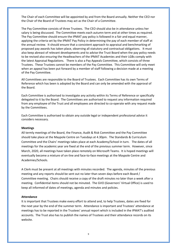The Chair of each Committee will be appointed by and from the Board annually. Neither the CEO nor the Chair of the Board of Trustees may act as the Chair of a Committee.

The Pay Committee consists of three Trustees. The CEO should also be in attendance unless her salary is being discussed. The Committee meets each autumn term and at other times as required. The Pay Committee should ensure the IPMAT pay policy is followed in a fair and equal manner, applying the criteria set by the IPMAT Pay Policy in determining the pay of each member of staff at the annual review. It should ensure that a consistent approach to appraisal and benchmarking of proposed pay awards has taken place, observing all statutory and contractual obligations. It must also keep abreast of relevant developments and to advise the Trust Board when the pay policy needs to be revised also ensuring the Headteachers of the IPMAT Academies and their LGBs comply with the latest Appraisal Regulations. There is also a Pay Appeals Committee, which consists of three Trustees. These Trustees cannot be members of the Pay Committee. This Committee will only meet when an appeal has been put forward by a member of staff following a decision made at a meeting of the Pay Committee.

All Committees are responsible to the Board of Trustees. Each Committee has its own Terms of Reference which has been is adopted by the Board and can only be amended with the approval of the Board.

Each Committee is authorised to investigate any activity within its Terms of Reference or specifically delegated to it by the Board. The Committees are authorised to request any information required from any employee of the Trust and all employees are directed to co-operate with any request made by the Committees.

Each Committee is authorised to obtain any outside legal or independent professional advice it considers necessary.

#### **Meetings**

All termly meetings of the Board, the Finance, Audit & Risk Committee and the Pay Committee should take place at the Maypole Centre on Tuesdays at 4.30pm. The Standards & Curriculum Committee and the Chairs' meetings takes place at each Academy/School in turn. The dates of all meetings for the academic year are fixed at the end of the previous summer term. However, since March, 2020, all meetings have taken place remotely on Microsoft Teams. It is hoped meetings will eventually become a mixture of on-line and face-to-face meetings at the Maypole Centre and Academies/Schools.

A Clerk must be present at all meetings with minutes recorded. The agenda, minutes of the previous meeting and any reports should be sent out no later than seven days before each Board / Committee meeting. Chairs should receive a copy of the draft minutes no later than a week after a meeting. Confidential items should not be minuted. The GVO (Governors' Virtual Office) is used to keep all informed of dates of meetings, agenda and minutes and policies.

#### **Attendance**

It is important that Trustees make every effort to attend and, to help Trustees, dates are fixed for the next year by the end of the summer term. Attendance is important and Trustees' attendance at meetings has to be reported in the Trustees' annual report which is included in the IPMAT's audited accounts. The Trust also has to publish the names of Trustees and their attendance records on its website.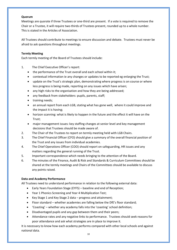#### **Quorum**

Meetings are quorate if three Trustees or one-third are present. If a vote is required to remove the Chair or a Trustee, it will require two-thirds of Trustees present, rounded up to a whole number. This is stated in the Articles of Association.

All Trustees should contribute to meetings to ensure discussion and debate. Trustees must never be afraid to ask questions throughout meetings.

## **Termly Meeting**

Each termly meeting of the Board of Trustees should include:

- 1. The Chief Executive Officer's report:
	- the performance of the Trust overall and each school within it;
	- contextual information ie any changes or updates to be reported eg enlarging the Trust;
	- update on the Trust's strategic plan, demonstrating where progress is on course or where less progress is being made, reporting on any issues which have arisen;
	- any high risks to the organisation and how they are being addressed;
	- any feedback from stakeholders: pupils, parents, staff;
	- training needs;
	- an annual report from each LGB, stating what has gone well, where it could improve and the impact it is having;
	- horizon scanning: what is likely to happen in the future and the effect it will have on the Trust;
	- major management issues: key staffing changes at senior level and key management decisions that Trustees should be made aware of.
- 2. The Chair of the Trustees to report on termly meeting held with LGB Chairs.
- 3. The Chief Financial Officer (CFO) should give a summary of the overall financial position of the Trust and any issues from individual academies.
- 4. The Chief Operations Officer (COO) should report on safeguarding, HR issues and any matters regarding the general running of the Trust.
- 5. Important correspondence which needs bringing to the attention of the Board.
- 6. The minutes of the Finance, Audit & Risk and Standards & Curriculum Committees should be shared at the termly meetings and Chairs of the Committees should be available to discuss any points raised.

## **Data and Academy Performance**

All Trustees need to understand performance in relation to the following external data:

- Early Years Foundation Stage (EYFS) baseline and end of Reception;
- Year 1 Phonics Screening and Year 4 Multiplication Test;
- Key Stage 1 and Key Stage 2 data progress and attainment;
- Floor standard whether academies are falling below the DfE's floor standard;
- 'Coasting' whether any academy falls into the 'coasting' school definition;
- Disadvantaged pupils and any gap between them and their peers;
- Attendance rates and any negative links to performance. Trustees should seek reasons for poor attendance and ask what strategies are in place to improve it.

It is necessary to know how each academy performs compared with other local schools and against national data.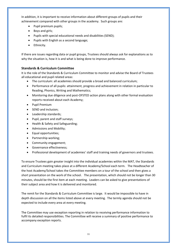In addition, it is important to receive information about different groups of pupils and their achievement compared with other groups in the academy. Such groups are:

- Pupil premium pupils;
- Boys and girls;
- Pupils with special educational needs and disabilities (SEND);
- Pupils with English as a second language;
- Ethnicity.

If there are issues regarding data or pupil groups, Trustees should always ask for explanations as to why the situation is, how it is and what is being done to improve performance.

# **Standards & Curriculum Committee**

It is the role of the Standards & Curriculum Committee to monitor and advise the Board of Trustees all educational and pupil related areas:

- The curriculum: all academies should provide a broad and balanced curriculum;
- Performance of all pupils: attainment, progress and achievement in relation in particular to Reading, Phonics, Writing and Mathematics;
- Monitoring due diligence and post-OFSTED action plans along with other formal evaluation reports received about each Academy;
- Pupil Premium
- SEND and inclusion:
- Leadership standards;
- Pupil, parent and staff surveys;
- Health & Safety and Safeguarding;
- Admissions and Mobility;
- Equal opportunities;
- Partnership working;
- Community engagement;
- Governance effectiveness;
- Professional development of academies' staff and training needs of governors and trustees.

To ensure Trustees gain greater insight into the individual academies within the MAT, the Standards and Curriculum meeting takes place at a different Academy/School each term. The Headteacher of the host Academy/School takes the Committee members on a tour of the school and then gives a short presentation on the work of the school. The presentation, which should not be longer than 30 minutes, should be the first item at each meeting. Leaders can be asked to give presentations of their subject area and how it is delivered and monitored.

The remit for the Standards & Curriculum Committee is large. It would be impossible to have in depth discussion on all the items listed above at every meeting. The termly agenda should not be expected to include every area at every meeting.

The Committee may use exception reporting in relation to receiving performance information to fulfil its detailed responsibilities. The Committee will receive a summary of positive performance to accompany exception reports.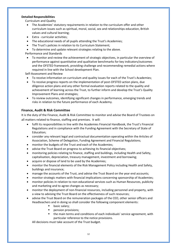### **Detailed Responsibilities**

Curriculum and Quality

- The Academies' statutory requirements in relation to the curriculum offer and other curriculum issues such as spiritual, moral, social, sex and relationships education, British values and cultural learning;
- Extra curricular activities;
- The educational needs of all pupils attending the Trust's Academies;
- The Trust's policies in relation to its Curriculum Statement;
- To determine and update relevant strategies relating to the above.

Performance and Standards

• To monitor and review the achievement of strategic objectives, in particular the overview of performance against quantitative and qualitative benchmarks for key indicators/outcomes and the OFSTED framework, providing challenge and recommending remedial actions where required in line with the School development Plan.

Self-Assessment and Review

- To receive information on curriculum and quality issues for each of the Trust's Academies;
- To receive progress reports on the implementation of post-OFSTED action plans, due diligence action plans and any other formal evaluation reports related to the quality and achievement of learning across the Trust, to further inform and develop the Trust's Quality Improvement Plans and strategies;
- To review outcomes, identifying significant changes in performance, emerging trends and risks in relation to the future performance of each Academy.

# **Finance, Audit & Risk Committee**

It is the duty of the Finance, Audit & Risk Committee to monitor and advise the Board of Trustees on all matters related to finance, staffing and premises. It will:

- fulfil its responsibilities in line with the Academies Financial Handbook, the Trust's Financial Regulations and in compliance with the Funding Agreement with the Secretary of State of Education;
- consider any relevant legal and contractual documentation operating within the Articles of Association, Scheme of Delegation, Funding Agreement and Financial Regulations;
- monitor the budgets of the Trust and each of the Academies;
- advise the Trust Board on progress to achieving its financial objectives;
- monitoring policies relating to finance, staffing and buildings, including Health and Safety, capitalisation, depreciation, treasury management, investment and borrowing;
- acquire or dispose of land to be used by the Academies;
- monitor the financial elements of the Risk Management Policy including Health and Safety, buildings and insurance;
- manage the accounts of the Trust, and advise the Trust Board on the year end accounts;
- monitor strategic matters with financial implications concerning sponsorship of Academies;
- monitor policies in relation to non-educational services such as Human Resources, publicity and marketing and to agree changes as necessary;
- monitor the deployment of non-financial resources, including personnel and property, with a view to advising the Trust Board on the effectiveness of such resources;
- advise the Trust Board on the remuneration packages of the CEO, other senior officers and Headteachers and in doing so shall consider the following component elements:
	- basic salary;
	- pension provisions:
	- the main terms and conditions of each individuals' service agreement, with particular reference to the notice provisions.

All decisions must take account of the Trust budget.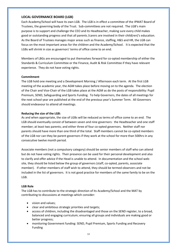## **LOCAL GOVERNANCE BOARD (LGB)**

Each Academy/School will have its own LGB. The LGB is in effect a committee of the IPMAT Board of Trustees, the governing body of the Trust. Sub-committees are not required. The LGB's main purpose is to support and challenge the CEO and its Headteacher, making sure every child makes good or outstanding progress and that all parents /carers are involved in their child(ren)'s education. As the Board of Trustees manages major areas such as finance, staffing, H&S and HR, the LGB can focus on the most important areas for the children and the Academy/School. It is expected that the LGBs will shrink in size as governors' terms of office come to an end.

Members of LBGs are encouraged to put themselves forward for co-opted membership of either the Standards & Curriculum Committee or the Finance, Audit & Risk Committee if they have relevant experience. They do not have voting rights.

#### **Commitment**

The LGB hold one meeting and a Development Morning / Afternoon each term. At the first LGB meeting of the academic year, the AGM takes place before moving on to the agenda. The election of the Chair and Vice-Chair of the LGB takes place at the AGM as do the posts of responsibility: Pupil Premium, SEND, Safeguarding and Sports Funding. To help Governors, the dates of all meetings for the next school year are published at the end of the previous year's Summer Term. All Governors should endeavour to attend all meetings.

#### **Reducing the size of the LGB:**

As and when appropriate, the size of LGBs will be reduced as terms of office come to an end. The LGB should eventually consist of between seven and nine governors: the Headteacher and one staff member; at least two parents; and either three of four co-opted governors. Neither staff nor parents should have more than one third of the total. Staff members cannot be co-opted members of the LGB nor can they be parent governors if they work at the school for more than 500hrs in any consecutive twelve month period.

Associate members (not a compulsory category) should be senior members of staff who can attend but do not have voting rights. Their presence can be used for their personal development and also to clarify and offer advice if the Head is unable to attend. In documentation and the school website, they should be listed below the group of governors (staff, co-opted, parents, associate member). If other members of staff wish to attend, they should be termed observers and not be included in the list of governors. It is not good practice for members of the same family to be on the LGB.

#### **LGB Role**

The LGB has to contribute to the strategic direction of its Academy/School and the MAT by contributing to discussions at meetings which consider:

- vision and values;
- clear and ambitious strategic priorities and targets;
- access of children, including the disadvantaged and those on the SEND register, to a broad, balanced and engaging curriculum; ensuring all groups and individuals are making good or better progress;
- monitoring Government funding: SEND, Pupil Premium, Sports Funding and Recovery Funding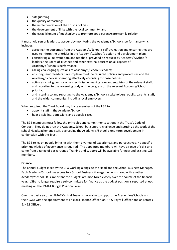- safeguarding
- the quality of teaching;
- the implementation of the Trust's policies:
- the development of links with the local community; and
- the establishment of mechanisms to promote good parent/carer/family relation

It must hold senior leaders to account by monitoring the Academy's/School's performance which includes:

- agreeing the outcomes from the Academy's/School's self-evaluation and ensuring they are used to inform the priorities in the Academy's/School's action and development plan;
- considering all relevant data and feedback provided on request by Academy's/School's leaders, the Board of Trustees and other external sources on all aspects of Academy's/School's performance;
- asking challenging questions of Academy's/School's leaders;
- ensuring senior leaders have implemented the required policies and procedures and the Academy/School is operating effectively according to those policies;
- acting as a link governor on a specific issue, making relevant enquiries of the relevant staff, and reporting to the governing body on the progress on the relevant Academy/School priority;
- and listening to and reporting to the Academy's/School's stakeholders: pupils, parents, staff, and the wider community, including local employers.

When required, the Trust Board may invite members of the LGB to:

- appoint staff in the Academy/School;
- hear discipline, admissions and appeals cases

The LGB members must follow the principles and commitments set out in the Trust's Code of Conduct. They do not run the Academy/School but support, challenge and scrutinize the work of the school Headteacher and staff, overseeing the Academy's/School's long-term development in conjunction with the Trust.

The LGB relies on people bringing with them a variety of experiences and perspectives. No specific prior knowledge of governance is required. The appointed members will have a range of skills and come from a range of backgrounds. Training and support will be available for new and existing LGB members.

## **Finance**

The annual budget is set by the CFO working alongside the Head and the School Business Manager. Each Academy/School has access to a School Business Manager, who is shared with another Academy/School. It is important the budgets are monitored closely over the course of the financial year. LGBs no longer require a sub-committee for finance as the budget position is reported at each meeting on the IPMAT Budget Position Form.

Over the past year, the IPMAT Central Team is more able to support the Academies/Schools and their LGBs with the appointment of an extra Finance Officer, an HR & Payroll Officer and an Estates & H&S Officer.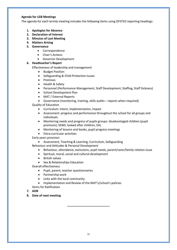## **Agenda for LGB Meetings**

The agenda for each termly meeting includes the following items using OFSTED reporting headings:

- **1. Apologies for Absence**
- **2. Declaration of Interest**
- **3. Minutes of Last Meeting**
- **4. Matters Arising**
- **5. Governance**
	- Correspondence
	- Chair's Actions
	- Governor Development

# **6. Headteacher's Report**

Effectiveness of leadership and management

- Budget Position
- Safeguarding & Child Protection Issues
- Premises
- Health & Safety
- Personnel (Performance Management, Staff Development, Staffing, Staff Sickness)
- School Development Plan
- MAT / External Reports
- Governance (monitoring, training, skills audits reports when required)

Quality of Education

- Curriculum: intent, implementation, impact
- Assessment: progress and performance throughout the school for all groups and individuals
- Monitoring needs and progress of pupils groups: disadvantaged children (pupil premium); SEND; looked after children, EAL
- Monitoring of lessons and books, pupil progress meetings
- Extra-curricular activities
- Early years provision
	- Assessment, Teaching & Learning, Curriculum, Safeguarding

Behaviour and Attitudes & Personal Development

- Behaviour, attendance, exclusions, pupil needs, parent/carer/family relation issue
- Spiritual, moral, social and cultural development
- British values
- Sex & Relationships Education

Overall effectiveness

- Pupil, parent, teacher questionnaires
- Partnership work
- Links with the local community
- Implementation and Review of the MAT's/school's policies
- Items for Ratification
- **7. AOB**
- **8. Date of next meeting**

**\_\_\_\_\_\_\_\_\_\_\_\_\_\_\_\_\_\_\_\_\_\_\_\_\_\_**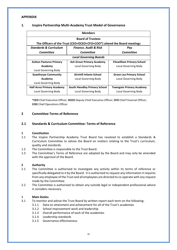## **APPENDIX**

# **1. Inspire Partnership Multi-Academy Trust Model of Governance**

|                                   | <b>Members</b>                                                          |                                 |
|-----------------------------------|-------------------------------------------------------------------------|---------------------------------|
|                                   | <b>Board of Trustees</b>                                                |                                 |
|                                   | The Officers of the Trust (CEO+DCEO+CFO+COO*) attend the Board meetings |                                 |
| <b>Standards &amp; Curriculum</b> | Finance, Audit & Risk                                                   | Pay                             |
| Committee                         | <b>Committee</b>                                                        |                                 |
|                                   |                                                                         |                                 |
| <b>Ackton Pastures Primary</b>    | <b>Fitzwilliam Primary School</b>                                       |                                 |
| Academy                           | Local Governing Body                                                    | Local Governing Body            |
| Local Governing Body              |                                                                         |                                 |
| <b>Gawthorpe Community</b>        | <b>Girnhill Infants School</b>                                          | <b>Grove Lea Primary School</b> |
| Academy                           | Local Governing Body                                                    | Local Governing Body            |
| Local Governing Body              |                                                                         |                                 |
| <b>Half Acres Primary Academy</b> | <b>South Hiendley Primary School</b>                                    | <b>Towngate Primary Academy</b> |
| Local Governing Body              | Local Governing Body                                                    | Local Governing Body            |
|                                   |                                                                         |                                 |

**\*CEO** Chief Executive Officer; **DCEO** Deputy Chief Executive Officer; **CFO** Chief Financial Officer; **COO** Chief Operations Officer

# **2 Committee Terms of Reference**

# **2.1 Standards & Curriculum Committee: Terms of Reference**

# **1 Constitution**

- 1.1 The Inspire Partnership Academy Trust Board has resolved to establish a Standards & Curriculum Committee to advise the Board on matters relating to the Trust's curriculum, quality and standards.
- 1.2 The Committee is responsible to the Trust Board.
- 1.3 The Committee's Terms of Reference are adopted by the Board and may only be amended with the approval of the Board.

# **2 Authority**

- 2.1 The Committee is authorised to investigate any activity within its terms of reference or specifically delegated to it by the Board. It is authorised to request any information it requires from any employee of the Trust and all employees are directed to co-operate with any request made by the Committee.
- 2.2 The Committee is authorised to obtain any outside legal or independent professional advice it considers necessary.

# 3 **Main Duties**

- 3.1 To monitor and advise the Trust Board by written report each term on the following:
	- 3.1.1 Data on attainment and achievement for all of the Trust's academies
	- 3.1.2 School improvement work and leadership
	- 3.1.3 Overall performance of each of the academies
	- 3.1.4 Leadership standards
	- 3.1.5 Governance effectiveness.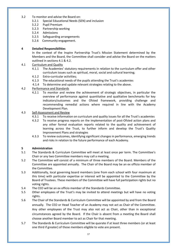- 3.2 To monitor and advise the Board on:
	- 3.2.1 Special Educational Needs (SEN) and inclusion
	- 3.2.2 Pupil Premium
	- 3.2.3 Partnership working
	- 3.2.4 Admissions
	- 3.2.5 Safeguarding arrangements
	- 3.2.6 Community engagement.

# **4 Detailed Responsibilities**

In the context of the Inspire Partnership Trust's Mission Statement determined by the Members and the Board, the Committee shall consider and advise the Board on the matters outlined in sections 4.1 & 4.2.

# 4.1 Curriculum and Quality

- 4.1.1 The Academies' statutory requirements in relation to the curriculum offer and other curriculum issues such as spiritual, moral, social and cultural learning;
- 4.1.2 Extra-curricular activities;
- 4.1.3 The educational needs of the pupils attending the Trust's academies
- 4.1.4 To determine and update relevant strategies relating to the above.
- 4.2 Performance and Standards
	- 4.2.1 To monitor and review the achievement of strategic objectives, in particular the overview of performance against quantitative and qualitative benchmarks for key indicators/outcomes and the Ofsted framework, providing challenge and recommending remedial actions where required in line with the Academy Development Plan.

# 4.3 Self-Assessment and Review

- 4.3.1 To receive information on curriculum and quality issues for all the Trust's academies
- 4.3.2 To receive progress reports on the implementation of post-Ofsted action plans and any other formal evaluation reports related to the quality and achievement of learning across the Trust, to further inform and develop the Trust's Quality Improvement Plans and strategies
- 4.3.3 To review outcomes, identifying significant changes in performance, emerging trends and risks in relation to the future performance of each Academy.

# **5 Administration**

- 5.1 The Standards & Curriculum Committee will meet at least once per term. The Committee's Chair or any two Committee members may call a meeting.
- 5.2 The Committee will consist of a minimum of three members of the Board. Members of the Committee are appointed annually. The Chair of the Board may be an ex officio member of the Committee.
- 5.3 Additionally, local governing board members (one from each school with four maximum at this time) with particular expertise or interest will be appointed to the Committee by the Board of Trustees. These members of the Committee will have full participation rights but no voting rights.
- 5.4 The CEO will be an ex officio member of the Standards Committee.
- 5.5 Other employees of the Trust's may be invited to attend meetings but will have no voting rights.
- 5.6 The Chair of the Standards & Curriculum Committee will be appointed by and from the Board annually. The CEO or Head Teacher of an Academy may not act as Chair of the Committee. Any other employees of the Trust may also not act as Chair, other than in exceptional circumstances agreed by the Board. If the Chair is absent from a meeting the Board shall choose another Board member to act as Chair for that meeting.
- 5.7 The Standards & Curriculum Committee will be quorate if at least three members (or at least one third if greater) of those members eligible to vote are present.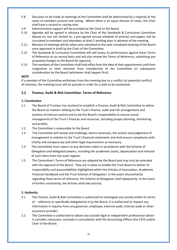- 5.8 Decisions to be made at meetings of the Committee shall be determined by a majority of the votes of members present and voting. Where there is an equal division of votes, the Chair shall have a second or casting vote.
- 5.9 Administrative support will be provided by the Clerk to the Board.
- 5.10 Agendas will be agreed in advance by the Chair of the Standards & Curriculum Committee (based on, but not limited to, a pre-agreed annual schedule of activity) and papers will be circulated to members and attendees at least 5 working days in advance of the meeting.
- 5.11 Minutes of meetings will be taken and submitted to the next scheduled meeting of the Board once approved in draft by the Chair of the Committee.
- 5.12 The Standards & Curriculum Committee will self-assess its performance against these Terms of Reference on an annual basis and will also review the Terms of Reference, submitting any proposed changes to the Board for approval.
- 5.13 The members of the Committee shall hold office from the date of their appointment until their resignation or their omission from membership of the Committee on subsequent consideration by the Board (whichever shall happen first).

# **NOTE**

If a member of the Committee withdraws from the meeting due to a conflict (or potential conflict) of interests, the meeting must still be quorate in order for a vote to be conducted.

# **2.2 Finance, Audit & Risk Committee: Terms of Reference**

# **1. Constitution**

- 1.1 The Board of Trustees has resolved to establish a Finance, Audit & Risk Committee to advise the Board on matters relating to the Trust's finance, audit and risk arrangements and systems of internal control and to aid the Board's responsibility to ensure sound management of the Trust's finances and resources, including proper planning, monitoring and probity.
- 1.2 The Committee is responsible to the Board.
- 1.3 The Committee will review and challenge, where necessary, the actions and judgement of management in relation to the Trust's financial statements and shall ensure compliance with charity and company law and other legal requirements as necessary.
- 1.4 The Committee must report on any decisions taken in accordance with the Scheme of Delegation and delegated powers, including the academies assets, depreciation and removal of such items from the asset register.
- 1.5 The Committee's Terms of Reference are adopted by the Board and may only be amended with the approval of the Board. They are in place to enable the Trust Board to deliver its responsibility and accountabilities highlighted within the Articles of Association, Academies Financial Handbook and the Trust Scheme of Delegation. In the event ofuncertainty regarding these terms of reference, the Scheme of Delegation shall takepriority. In the event of further uncertainty, the Articles shall take priority.

# **2. Authority**

- 2.1 The Finance, Audit & Risk Committee is authorised to investigate any activity within its terms of reference or specifically delegated to it by the Board. It is authorised to request any information it requires from any governor, employee, external audit, internal audit or other assurance provider.
- 2.2 The Committee is authorised to obtain any outside legal or independent professional advice it considers necessary, normally in consultation with the Accounting Officer (the CEO) and/or Chair of the Board.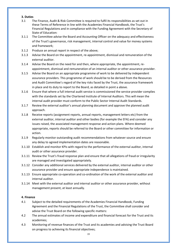### **3. Duties**

- 3.1 The Finance, Audit & Risk Committee is required to fulfil its responsibilities as set out in these Terms of Reference in line with the Academies Financial Handbook, the Trust's Financial Regulations and in compliance with the Funding Agreement with the Secretary of State of Education:
- 3.1.1 The Committee advise the Board and Accounting Officer on the adequacy and effectiveness of the Trust's governance, risk management, internal control and value for money systems and framework;
- 3.1.2 Produce an annual report in respect of the above;
- 3.1.3 Advise the Board on the appointment, re-appointment, dismissal and remuneration of the external auditor.
- 3.1.4 Advise the Board on the need for and then, where appropriate, the appointment, reappointment, dismissal and remuneration of an internal auditor or other assurance provider.
- 3.1.5 Advise the Board on an appropriate programme of work to be delivered by independent assurance providers. This programme of work should be to be derived from the Resources and Audit Committee's regard of the key risks faced by the Trust, the assurance framework in place and its duty to report to the Board, as detailed in point a above.
- 3.1.6 Ensure that where a full internal audit service is commissioned the service provider complies with the standards set by the Chartered Institute of Internal Auditors. This will mean the internal audit provider must conform to the Public Sector Internal Audit Standards.
- 3.1.7 Review the external auditor's annual planning document and approve the planned audit approach.
- 3.1.8 Receive reports (assignment reports, annual reports, management letters etc) from the external auditor, internal auditor and other bodies (for example the EFA) and consider any issues raised, the associated management response and action plans. Where deemed appropriate, reports should be referred to the Board or other committee for information or action.
- 3.1.9 Regularly monitor outstanding audit recommendations from whatever source and ensure any delay to agreed implementation dates are reasonable.
- 3.1.10 Establish and monitor KPIs with regard to the performance of the external auditor, internal audit or other assurance provider.
- 3.1.11 Review the Trust's fraud response plan and ensure that all allegations of fraud or irregularity are managed and investigated appropriately.
- 3.1.12 Consider any additional services delivered by the external auditor, internal auditor or other assurance provider and ensure appropriate independence is maintained.
- 3.1.13 Ensure appropriate co-operation and co-ordination of the work of the external auditor and internal auditor.
- 3.1.14 Meet with the external auditor and internal auditor or other assurance provider, without management present, at least annually.

## **4. Finance**

- 4.1 Subject to the detailed requirements of the Academies Financial Handbook, Funding Agreement and the Financial Regulations of the Trust, the Committee shall consider and advise the Trust Board on the following specific matters:
- 4.2 The annual estimates of income and expenditure and financial forecast for the Trust and its academies;
- 4.3 Monitoring of revenue finances of the Trust and its academies and advising the Trust Board on progress to achieving its financial objectives;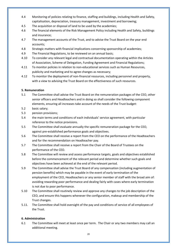- 4.4 Monitoring of policies relating to finance, staffing and buildings, including Health and Safety, capitalisation, depreciation, treasury management, investment and borrowing;
- 4.5 The acquisition or disposal of land to be used by the academies;
- 4.6 The financial elements of the Risk Management Policy including Health and Safety, buildings and insurance;
- 4.7 The management accounts of the Trust, and to advise the Trust Board on the year end accounts;
- 4.8 Strategic matters with financial implications concerning sponsorship of academies;
- 4.9 The Financial Regulations, to be reviewed on an annual basis;
- 4.10 To consider any relevant legal and contractual documentation operating within the Articles of Association, Scheme of Delegation, Funding Agreement and Financial Regulations;
- 4.11 To monitor policies in relation to non-educational services such as Human Resources, publicity and marketing and to agree changes as necessary;
- 4.12 To monitor the deployment of non-financial resources, including personnel and property, with a view to advising the Trust Board on the effectiveness of such resources.

# **5. Remuneration**

- 5.1 The Committee shall advise the Trust Board on the remuneration packages of the CEO, other senior officers and Headteachers and in doing so shall consider the following component elements, ensuring all increases take account of the needs of the Trust budget:
- 5.2 basic salary;
- 5.3 pension provisions;
- 5.4 the main terms and conditions of each individuals' service agreement, with particular reference to the notice provisions.
- 5.5 The Committee shall evaluate annually the specific remuneration package for the CEO, against pre-established performance goals and objectives.
- 5.6 The Committee shall receive a report from the CEO on the performance of the Headteachers and for the recommendation on Headteacher pay.
- 5.7 The Committee shall receive a report from the Chair of the Board of Trustees on the performance of the CEO.
- 5.8 The Committee will review and assess performance targets, goals and objectives established before the commencement of the relevant period and determine whether such goals and objectives have been achieved at the end of the relevant period.
- 5.9 The Committee shall advise the Trust Board of any compensation (including augmentation of pension benefits) which may be payable in the event of early termination of the employment of the CEO, Headteachers or any senior member of staff with the broad aim of: avoiding rewarding poor performance and dealing fairly with cases where early termination is not due to poor performance.
- 5.10 The Committee shall routinely review and approve any changes to the job description of the CEO, and ensure this happens whenever the configuration, makeup and membership of the Trust changes.
- 5.11. The Committee shall hold oversight of the pay and conditions of service of all employees of the Trust.

# **6. Administration**

6.1 The Committee will meet at least once per term. The Chair or any two members may call an additional meeting.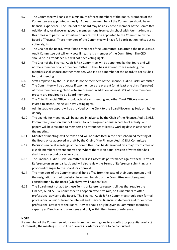- 6.2 The Committee will consist of a minimum of three members of the Board. Members of the Committee are appointed annually. At least one member of the Committee should have financial experience. The Chair of the Board may be an ex officio member of the Committee.
- 6.3 Additionally, local governing board members (one from each school with four maximum at this time) with particular expertise or interest will be appointed to the Committee by the Board of Trustees. These members of the Committee will have full participation rights but no voting rights.
- 6.4 The Chair of the Board, even if not a member of the Committee, can attend the Resources & Audit Committee but will only vote if he/she is a member of the Committee. The CEO should be in attendance but will not have voting rights.
- 6.5 The Chair of the Finance, Audit & Risk Committee will be appointed by the Board and will not be a member of any other committee. If the Chair is absent from a meeting, the members shall choose another member, who is also a member of the Board, to act as Chair for that meeting.
- 6.6 Staff employed by the Trust should not be members of the Finance, Audit & Risk Committee
- 6.7 The Committee will be quorate if two members are present (or at least one third if greater) of those members eligible to vote are present. In addition, at least 50% of those members present are required to be Board members.
- 6.8 The Chief Financial Officer should attend each meeting and other Trust Officers may be invited to attend. None will have voting rights.
- 6.9 Administrative support will be provided by the Clerk to the Board/Governing Body or his/her deputy.
- 6.10 The agenda for meetings will be agreed in advance by the Chair of the Finance, Audit & Risk Committee (based on, but not limited to, a pre-agreed annual schedule of activity) and papers will be circulated to members and attendees at least 5 working days in advance of the meeting.
- 6.11 Minutes of meetings will be taken and will be submitted in the next scheduled meeting of the Board once approved in draft by the Chair of the Finance, Audit & Risk Committee
- 6.12 Decisions made at meetings of the Committee shall be determined by a majority of votes of eligible members present and voting. Where there is an equal division of votes the Chair shall have a second or casting vote.
- 6.13 The Finance, Audit & Risk Committee will self-assess its performance against these Terms of Reference on an annual basis and will also review the Terms of Reference, submitting any proposed changes to the Board for approval.
- 6.14 The members of the Committee shall hold office from the date of their appointment until the resignation or their omission from membership of the Committee on subsequent consideration by the Board (whichever will happen first).
- 6.15 The Board must not add to these Terms of Reference responsibilities that require the Finance, Audit & Risk Committee to adopt an executive role, or its members to offer professional advice to the Board. The Finance, Audit & Risk Committee should seek formal professional opinions from the internal audit service, financial statements auditor or other professional advisers to the Board. Advice should only be given in Committee members' capacity as Directors and co-optees and only within their terms of reference.

## **NOTE**

If a member of the Committee withdraws from the meeting due to a conflict (or potential conflict) of interests, the meeting must still be quorate in order for a vote to be conducted.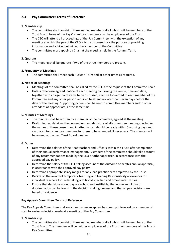# **2.3 Pay Committee: Terms of Reference**

# **1. Membership**

- The committee shall consist of three named members all of whom will be members of the Trust Board. None of the Pay Committee members shall be employees of the Trust.
- The CEO will attend all proceedings of the Pay Committee (with the exception of any meeting at which the pay of the CEO is to be discussed) for the purpose of providing information and advice, but will not be a member of the Committee.
- The committee must appoint a Chair at the meeting held in the Autumn Term.

# **2. Quorum**

• The meeting shall be quorate if two of the three members are present.

# **3. Frequency of Meetings**

• The committee shall meet each Autumn Term and at other times as required.

# **4. Notice of Meetings**

- Meetings of the committee shall be called by the CEO at the request of the Committee Chair.
- Unless otherwise agreed, notice of each meeting confirming the venue, time and date, together with an agenda of items to be discussed, shall be forwarded to each member of the Committee and any other person required to attend no later than seven days before the date of the meeting. Supporting papers shall be sent to committee members and to other attendees as appropriate, at the same time.

# **5. Minutes of Meetings**

- The minutes shall be written by a member of the committee, agreed at the meeting.
- Draft minutes, detailing the proceedings and decisions of all committee meetings, including the names of those present and in attendance, should be ready within 5 working days and circulated to committee members for them to be amended, if necessary. The minutes will be agreed at the next Trust Board meeting.

## **6. Duties**

- Determine the salaries of the Headteachers and Officers within the Trust, after completion of their annual performance management. Members of the committee should take account of any recommendations made by the CEO or other appraiser, in accordance with the approved pay policy.
- Determine the salary of the CEO, taking account of the outcome of her/his annual appraisal, in accordance with the approved pay policy.
- Determine appropriate salary ranges for any lead practitioners employed by the Trust.
- Decide on the award of temporary Teaching and Leaning Responsibility allowances for individual teachers for undertaking additional specified and time-limited duties.
- Ensure that decisions about pay are robust and justifiable, that no unlawful bias or discrimination can be found in the decision making process and that all pay decisions are based on evidence.

# **Pay Appeals Committee: Terms of Reference**

The Pay Appeals Committee shall only meet when an appeal has been put forward by a member of staff following a decision made at a meeting of the Pay Committee.

# **1. Membership**

• The committee shall consist of three named members all of whom will be members of the Trust Board. The members will be neither employees of the Trust nor members of the Trust's Pay Committee.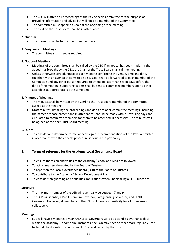- The CEO will attend all proceedings of the Pay Appeals Committee for the purpose of providing information and advice but will not be a member of the Committee.
- The committee must appoint a Chair at the beginning of the meeting.
- The Clerk to the Trust Board shall be in attendance.

# **2. Quorum**

• The quorum shall be two of the three members.

# **3. Frequency of Meetings**

• The committee shall meet as required.

# **4. Notice of Meetings**

- Meetings of the committee shall be called by the CEO if an appeal has been made. If the appeal has brought by the CEO, the Chair of the Trust Board shall call the meeting.
- Unless otherwise agreed, notice of each meeting confirming the venue, time and date, together with an agenda of items to be discussed, shall be forwarded to each member of the Committee and any other person required to attend no later than seven days before the date of the meeting. Supporting papers shall be sent to committee members and to other attendees as appropriate, at the same time.

# **5. Minutes of Meetings**

- The minutes shall be written by the Clerk to the Trust Board member of the committee, agreed at the meeting.
- Draft minutes, detailing the proceedings and decisions of all committee meetings, including the names of those present and in attendance, should be ready within 5 working days and circulated to committee members for them to be amended, if necessary. The minutes will be agreed at the next Trust Board meeting.

## **6. Duties**

• To consider and determine formal appeals against recommendations of the Pay Committee in accordance with the appeals procedure set out in the pay policy.

# **2. Terms of reference for the Academy Local Governance Board**

- To ensure the vision and values of the Academy/School and MAT are followed.
- To act on matters delegated by the Board of Trustees
- To report on the Local Governance Board (LGB) to the Board of Trustees.
- To contribute to the Academy / School Development Plan.
- To consider safeguarding and equalities implications when undertaking all LGB functions.

## **Structure**

- The maximum number of the LGB will eventually be between 7 and 9.
- The LGB will identify a Pupil Premium Governor; Safeguarding Governor; and SEND Governor. However, all members of the LGB will have responsibility for all three areas collectively.

## **Meetings**

• LGB will have 3 meetings a year AND Local Governors will also attend 3 governance days within the academy. In some circumstances, the LGB may need to meet more regularly - this be left at the discretion of individual LGB or as directed by the Trust.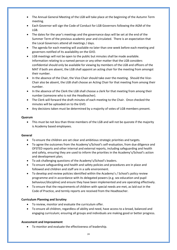- The Annual General Meeting of the LGB will take place at the beginning of the Autumn Term meeting.
- Each Governor will sign the Code of Conduct for LGB Governors following the AGM of the LGB.
- The dates for the year's meetings and the governance days will be set at the end of the Summer Term of the previous academic year and circulated. There is an expectation that the Local Governors attend all meetings / days.
- The agenda for each meeting will available no later than one week before each meeting and governors notified of its availability on the GVO.
- LGB meetings will not be open to the public but minutes shall be made available. Information relating to a named person or any other matter that the LGB considers confidential should only be available for viewing by members of the LGB and officers of the MAT if both are absent, the LGB shall appoint an acting chair for the meeting from amongst their number.
- In the absence of the Chair, the Vice-Chair should take over the meeting. Should the Vice-Chair also be absent, the LGB shall choose an Acting Chair for that meeting from among their number.
- In the absence of the Clerk the LGB shall choose a clerk for that meeting from among their number (someone who is not the Headteacher).
- The Clerk will forward the draft minutes of each meeting to the Chair. Once checked the minutes will be uploaded on to the GVO.
- Any decisions taken must be determined by a majority of votes of LGB members present.

# **Quorum**

• This must be not less than three members of the LGB and will not be quorate if the majority is Academy based employees.

## **General**

- To ensure the children are set clear and ambitious strategic priorities and targets.
- To agree the outcomes from the Academy's/School's self-evaluation, from due diligence and OFSTED reports and other internal and external reports, including safeguarding and health and safety, ensuring they are used to inform the priorities in the Academy's/School's action and development plan;
- To ask challenging questions of the Academy's/School's leaders.
- To ensure safeguarding and health and safety policies and procedures are in place and followed and children and staff are in a safe environment.
- To develop and review policies identified within the Academy's / School's policy review programme and in accordance with its delegated powers (e.g. sex education and pupil behaviour/discipline) and ensure they have been implemented and are operating effectively.
- To ensure that the requirements of children with special needs are met, as laid out in the Code of Practice, and termly reports are received from the Headteacher.

# **Curriculum Planning and Scrutiny**

- To review, monitor and evaluate the curriculum offer.
- To ensure all children, regardless of ability and need, have access to a broad, balanced and engaging curriculum; ensuring all groups and individuals are making good or better progress.

## **Assessment and Improvement**

• To monitor and evaluate the effectiveness of leadership.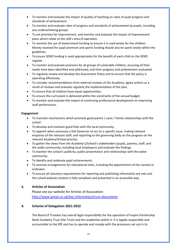- To monitor and evaluate the impact of quality of teaching on rates of pupil progress and standards of achievement.
- To monitor and evaluate rates of progress and standards of achievement by pupils, including any underachieving groups.
- To set priorities for improvement, and monitor and evaluate the impact of improvement plans which relate to the LGB's area of operation.
- To monitor the use of Government funding to ensure it is used wisely for the children. Money received for pupil premium and sports funding should also be spent wisely within the guidelines.
- To ensure SEND funding is used appropriately for the benefit of each child on the SEND register.
- To monitor and evaluate provision for all groups of vulnerable children, ensuring all their needs have been identified and addressed, and their progress and achievement evaluated.
- To regularly review and develop the Assessment Policy and to ensure that the policy is operating effectively.
- To consider recommendations from external reviews of the Academy, agree actions as a result of reviews and evaluate regularly the implementation of the plan.
- To ensure that all children have equal opportunities.
- To ensure the curriculum is delivered within the constraints of the annual budget.
- To monitor and evaluate the impact of continuing professional development on improving staff performance.

# **Engagement**

- To maintain mechanisms which promote good parent / carer / family relationships with the school.
- To develop and maintain good links with the local community.
- To appoint when necessary a link Governor to act on a specific issue, making relevant enquiries of the relevant staff, and reporting to the governing body on the progress on the relevant Academy/School priority;
- To gather the views from the Academy's/School's stakeholders (pupils, parents, staff, and the wider community, including local employers) and evaluate the findings.
- To monitor the school's publicity, public presentation and relationships with the wider community.
- To identify and celebrate pupil achievements.
- To oversee arrangements for educational visits, including the appointment of the named coordinator.
- To ensure all statutory requirements for reporting and publishing information are met and the school website content is fully compliant and presented in an accessible way.

# **3. Articles of Association**

Please see our website for Articles of Association: <http://www.ipmat.co.uk/key-information/trust-documents>

# **4. Scheme of Delegation 2021-2022**

The Board of Trustees has overall legal responsibility for the operation of Inspire Partnership Multi Academy Trust (the Trust) and the academies within it. It is legally responsible and accountable to the DfE and has to operate and comply with the provisions set out in its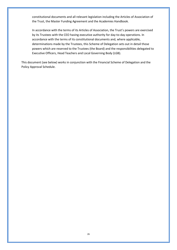constitutional documents and all relevant legislation including the Articles of Association of the Trust, the Master Funding Agreement and the Academies Handbook.

In accordance with the terms of its Articles of Association, the Trust's powers are exercised by its Trustees with the CEO having executive authority for day-to-day operations. In accordance with the terms of its constitutional documents and, where applicable, determinations made by the Trustees, this Scheme of Delegation sets out in detail those powers which are reserved to the Trustees (the Board) and the responsibilities delegated to Executive Officers, Head Teachers and Local Governing Body (LGB).

This document (see below) works in conjunction with the Financial Scheme of Delegation and the Policy Approval Schedule.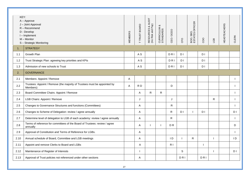| KEY:  | $A - Approve$<br>J - Joint Approval<br>$R - Recommend$<br>D - Develop<br>I-Implement<br>M - Monitor<br>S - Strategic Monitoring | <b>MEMBERS</b> | T TRUST BOARD  | RESOURCES & AUDIT<br>(Inc Risk and Pay) | CURRICULUM &<br>STANDARDS | CEO/DCEO       | CFO            | BOO, SBO,<br>ESTATES OFFICER | coo             | <b>GB</b>    | <b>HEADTEACHERS</b> | CLERK          |
|-------|---------------------------------------------------------------------------------------------------------------------------------|----------------|----------------|-----------------------------------------|---------------------------|----------------|----------------|------------------------------|-----------------|--------------|---------------------|----------------|
| 1.    | <b>STRATEGY</b>                                                                                                                 |                |                |                                         |                           |                |                |                              |                 |              |                     |                |
| $1.1$ | Growth Plan                                                                                                                     |                | A <sub>S</sub> |                                         |                           | <b>DRI</b>     | D <sub>1</sub> |                              | D <sub>1</sub>  |              |                     |                |
| $1.2$ | Trust Strategic Plan: agreeing key priorities and KPIs                                                                          |                | A <sub>S</sub> |                                         |                           | <b>DRI</b>     | D <sub>1</sub> |                              | D <sub>1</sub>  |              |                     |                |
| 1.3   | Admission of new schools to Trust                                                                                               |                | A <sub>S</sub> |                                         |                           | <b>DRI</b>     | D <sub>1</sub> |                              | D <sub>1</sub>  |              |                     |                |
| 2.    | <b>GOVERNANCE</b>                                                                                                               |                |                |                                         |                           |                |                |                              |                 |              |                     |                |
| 2.1   | Members: Appoint / Remove                                                                                                       | A              |                |                                         |                           |                |                |                              |                 |              |                     |                |
| 2.2   | Trustees: Appoint / Remove (the majority of Trustees must be appointed by<br>Members)                                           | A              | RD             |                                         |                           | D              |                |                              |                 |              |                     |                |
| 2.3   | Board Committee Chairs: Appoint / Remove                                                                                        |                | Α              | R                                       | $\mathsf{R}$              |                |                |                              |                 |              |                     |                |
| 2.4   | LGB Chairs: Appoint / Remove                                                                                                    |                | J              |                                         |                           | J              |                |                              |                 | $\mathsf{R}$ |                     | $\mathbf{I}$   |
| 2.5   | Changes to Governance Structures and functions (Committees)                                                                     |                | Α              |                                         |                           | R              |                |                              |                 |              |                     | $\blacksquare$ |
| 2.6   | Changes to Scheme of Delegation: review / agree annually                                                                        |                | A              |                                         |                           | R              | D <sub>1</sub> |                              | D <sub>1</sub>  |              |                     | D <sub>1</sub> |
| 2.7   | Determine level of delegation to LGB of each academy: review / agree annually                                                   |                | Α              |                                         |                           | R              |                |                              |                 |              |                     |                |
| 2.8   | Terms of reference for committees of the Board of Trustees: review / agree<br>annually                                          |                | Α              |                                         |                           | D <sub>R</sub> |                |                              |                 |              |                     | D              |
| 2.9   | Approval of Constitution and Terms of Reference for LGBs.                                                                       |                | Α              |                                         |                           |                |                |                              |                 |              |                     |                |
| 2.10  | Annual schedule of Board, Committee and LGB meetings                                                                            |                | A              |                                         |                           | $\overline{1}$ |                | $\mathsf{R}$                 |                 |              |                     | $\overline{D}$ |
| 2.11  | Appoint and remove Clerks to Board and LGBs                                                                                     |                | A              |                                         |                           | R <sub>1</sub> |                |                              |                 |              |                     |                |
| 2.12  | Maintenance of Register of Interests                                                                                            |                |                |                                         |                           |                | $\mathsf S$    |                              |                 |              |                     | D <sub>1</sub> |
| 2.13  | Approval of Trust policies not referenced under other sections                                                                  |                | A              |                                         |                           |                | <b>DRI</b>     |                              | D <sub>RI</sub> |              |                     |                |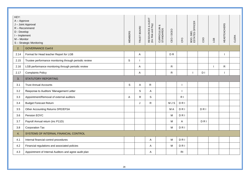| KEY:<br>$A - Approve$<br>J - Joint Approval<br>R - Recommend<br>D - Develop<br>I-Implement<br>$M -$ Monitor<br>S - Strategic Monitoring<br><b>GOVERNANCE Cont'd</b><br>2. |                                                        | <b>MEMBERS</b> | TRUST BOARD  | RESOURCES & AUDIT<br>(Inc Risk and Pay) | CURRICULUM &<br>STANDARDS | CEO / DCEO | CFO            | BOO, SBO,<br>ESTATES OFFICER | COO            | <b>GB</b> | <b>HEADTEACHERS</b> | CLERK |
|---------------------------------------------------------------------------------------------------------------------------------------------------------------------------|--------------------------------------------------------|----------------|--------------|-----------------------------------------|---------------------------|------------|----------------|------------------------------|----------------|-----------|---------------------|-------|
|                                                                                                                                                                           |                                                        |                |              |                                         |                           |            |                |                              |                |           |                     |       |
| 2.14                                                                                                                                                                      | Format for Head teacher Report for LGB                 |                | $\mathsf A$  |                                         |                           | DR         |                |                              |                |           |                     |       |
| 2.15                                                                                                                                                                      | Trustee performance monitoring through periodic review | $\mathsf S$    |              |                                         |                           |            |                |                              |                |           |                     |       |
| 2.16                                                                                                                                                                      | LGB performance monitoring through periodic review     |                | A            |                                         |                           | R          |                |                              |                |           | $\mathsf{R}$        |       |
| 2.17                                                                                                                                                                      | <b>Complaints Policy</b>                               |                | A            |                                         |                           | R.         |                |                              | D <sub>1</sub> |           |                     |       |
| 3.                                                                                                                                                                        | STATUTORY REPORTING                                    |                |              |                                         |                           |            |                |                              |                |           |                     |       |
| 3.1                                                                                                                                                                       | <b>Trust Annual Accounts</b>                           | $\mathsf S$    | A            | $\mathsf{R}$                            |                           |            |                |                              |                |           |                     |       |
| 3.2                                                                                                                                                                       | Response to Auditors' Management Letter                |                | $\mathbf S$  | A                                       |                           |            |                |                              |                |           |                     |       |
| 3.3                                                                                                                                                                       | Appointment/Removal of external auditors               | Α              | $\mathsf{R}$ | S                                       |                           |            | R <sub>1</sub> |                              |                |           |                     |       |
| 3.4                                                                                                                                                                       | <b>Budget Forecast Return</b>                          |                | J            | $\mathsf{R}$                            |                           | MJS        | DRI            |                              |                |           |                     |       |
| 3.5                                                                                                                                                                       | Other Accounting Returns DFE/EFSA                      |                |              |                                         |                           | M A        | <b>DRI</b>     |                              | <b>DRI</b>     |           |                     |       |
| 3.6                                                                                                                                                                       | Pension EOYC                                           |                |              |                                         |                           | M          | <b>DRI</b>     |                              |                |           |                     |       |
| 3.7                                                                                                                                                                       | Payroll Annual return (inc P11D)                       |                |              |                                         |                           | M          | A              |                              | <b>DRI</b>     |           |                     |       |
| 3.8                                                                                                                                                                       | Corporation Tax                                        |                |              |                                         |                           | M          | <b>DRI</b>     |                              |                |           |                     |       |
| 4.                                                                                                                                                                        | SYSTEMS OF INTERNAL FINANCIAL CONTROL                  |                |              |                                         |                           |            |                |                              |                |           |                     |       |
| 4.1                                                                                                                                                                       | Internal financial control procedures                  |                |              | A                                       |                           | M          | <b>DRI</b>     |                              |                |           |                     |       |
| 4.2                                                                                                                                                                       | Financial regulations and associated policies          |                |              | A                                       |                           | M          | <b>DRI</b>     |                              |                |           |                     |       |
| 4.3                                                                                                                                                                       | Appointment of Internal Auditors and agree audit plan  |                |              | A                                       |                           |            | R <sub>l</sub> |                              |                |           |                     |       |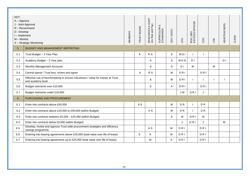| KEY:<br>$A - Approve$<br>D - Develop<br>I-Implement<br>$M -$ Monitor | J - Joint Approval<br>$R - Recommend$<br>S - Strategic Monitoring                                  | <b>MEMBERS</b> | TRUST BOARD    | & AUDIT<br>Pay)<br>RESOURCES &<br>(Inc Risk and P | CURRICULUM &<br>STANDARDS | CEO/DCEO | CFO            | BOO, SBO,<br>ESTATES OFFICER | COO        | <b>GB</b> | <b>HEADTEACHERS</b> | CLERK |
|----------------------------------------------------------------------|----------------------------------------------------------------------------------------------------|----------------|----------------|---------------------------------------------------|---------------------------|----------|----------------|------------------------------|------------|-----------|---------------------|-------|
| 5.                                                                   | <b>BUDGET AND MANAGEMENT REPORTING</b>                                                             |                |                |                                                   |                           |          |                |                              |            |           |                     |       |
| 5.1                                                                  | Trust Budget - 3 Year Plan                                                                         |                | A              | R <sub>S</sub>                                    |                           | S        | M <sub>D</sub> |                              |            |           |                     |       |
| 5.2                                                                  | Academy Budget - 3 Year plan                                                                       |                |                | Α                                                 |                           | S        | <b>MDR</b>     | D <sub>1</sub>               |            |           | D <sub>1</sub>      |       |
| 5.3                                                                  | Monthly Management Accounts                                                                        |                |                | S                                                 |                           | S        | D <sub>1</sub> | M                            |            | M         |                     |       |
| 5.4                                                                  | Central spend / Trust levy: review and agree                                                       |                | A              | R S                                               |                           | M        | <b>DRI</b>     |                              | <b>DRI</b> |           |                     |       |
| 5.5                                                                  | Effective use of benchmarking to ensure robustness / value for money at Trust<br>and academy level |                |                | S                                                 |                           | M        | <b>DRI</b>     |                              |            |           |                     |       |
| 5.6                                                                  | Budget virements over £10,000                                                                      |                |                | $\mathsf S$                                       |                           | Α        | <b>DRI</b>     |                              | <b>DRI</b> |           |                     |       |
| 5.7                                                                  | Budget virements under £10,000                                                                     |                |                |                                                   |                           |          | J M            | <b>DRI</b>                   | J          |           |                     |       |
| 6.                                                                   | PURCHASING AND PROCUREMENT                                                                         |                |                |                                                   |                           |          |                |                              |            |           |                     |       |
| 6.1                                                                  | Enter into contracts above £50,000                                                                 |                | A <sub>S</sub> |                                                   |                           | M        | D <sub>R</sub> |                              | DR         |           |                     |       |
| 6.2                                                                  | Enter into contracts above £25,000 to £50,000 (within Budget)                                      |                |                | A S                                               |                           | M        | D <sub>R</sub> |                              | DR         |           |                     |       |
| 6.3                                                                  | Enter into contracts between £5,000 - £25,000 (within Budget)                                      |                |                |                                                   |                           | Α        | M              | <b>DRI</b>                   | М          |           |                     |       |
| 6.4                                                                  | Enter into contracts below £5,000 (within Budget)                                                  |                |                |                                                   |                           |          | J              | DRI                          | J          |           | M                   |       |
| 6.5                                                                  | Develop, review and approve Trust wide procurement strategies and efficiency<br>savings programme  |                |                | A S                                               |                           | м        | DRI            |                              | DRI.       |           |                     |       |
| 6.6                                                                  | Entering into leasing agreements above £25,000 (total value over life of lease)                    |                | S              | A                                                 |                           | M        | <b>DRI</b>     |                              | DRI        |           |                     |       |
| 6.7                                                                  | Entering into leasing agreements up to £25,000 (total value over life of lease)                    |                |                | M                                                 |                           | A        | <b>DRI</b>     |                              | DRI        |           |                     |       |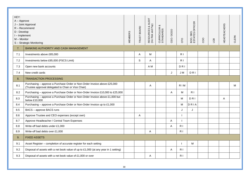| KEY:<br>$A - Approve$<br>J - Joint Approval<br>R - Recommend<br>D - Develop<br>I-Implement<br>$M -$ Monitor<br>S - Strategic Monitoring |                                                                                                                                 | <b>MEMBERS</b> | TRUST BOARD | & AUDIT<br>RESOURCES & AL<br>(Inc Risk and Pay) | య<br>CURRICULUM &<br>STANDARDS | CEO/DCEO | CFO            | BOO, SBO,<br>ESTATES OFFICER | COO | LGB | <b>HEADTEACHERS</b> | CLERK |
|-----------------------------------------------------------------------------------------------------------------------------------------|---------------------------------------------------------------------------------------------------------------------------------|----------------|-------------|-------------------------------------------------|--------------------------------|----------|----------------|------------------------------|-----|-----|---------------------|-------|
| 7.                                                                                                                                      | BANKING AUTHORITY AND CASH MANAGEMENT                                                                                           |                |             |                                                 |                                |          |                |                              |     |     |                     |       |
| 7.1                                                                                                                                     | Investments above £85,000                                                                                                       |                | A           | M                                               |                                |          | R <sub>1</sub> |                              |     |     |                     |       |
| 7.2                                                                                                                                     | Investments below £85,000 (FSCS Limit)                                                                                          |                | $\mathsf S$ | Α                                               |                                |          | R <sub>1</sub> |                              |     |     |                     |       |
| 7.3                                                                                                                                     | Open new bank accounts                                                                                                          |                |             | A M                                             |                                |          | <b>DRI</b>     |                              |     |     |                     |       |
| 7.4                                                                                                                                     | New credit cards                                                                                                                |                |             |                                                 |                                | J        | J M            | DRI                          |     |     |                     |       |
| 8.                                                                                                                                      | <b>TRANSACTION PROCESSING</b>                                                                                                   |                |             |                                                 |                                |          |                |                              |     |     |                     |       |
| 8.1                                                                                                                                     | Purchasing - approve a Purchase Order or Non-Order Invoice above £25,000<br>(Trustee approval delegated to Chair or Vice Chair) |                |             | Α                                               |                                |          | RIM            |                              |     |     |                     | M     |
| 8.2                                                                                                                                     | Purchasing - approve a Purchase Order or Non-Order Invoice £10,000 to £25,000                                                   |                |             |                                                 |                                | A        | M              | R <sub>1</sub>               |     |     |                     |       |
| 8.3                                                                                                                                     | Purchasing - approve a Purchase Order or Non-Order Invoice above £1,000 but<br>below £10,000                                    |                |             |                                                 |                                |          | M              | DRI                          |     |     | Α                   |       |
| 8.4                                                                                                                                     | Purchasing - approve a Purchase Order or Non-Order Invoice up to £1,000                                                         |                |             |                                                 |                                |          | м              | DRIA                         |     |     |                     |       |
| 8.5                                                                                                                                     | BACS - approve BACS runs                                                                                                        |                |             |                                                 |                                |          | J              | J                            |     |     |                     |       |
| 8.6                                                                                                                                     | Approve Trustee and CEO expenses (except own)                                                                                   |                | A           |                                                 |                                |          |                |                              |     |     |                     |       |
| 8.7                                                                                                                                     | Approve Headteacher / Central Team Expenses                                                                                     |                |             |                                                 |                                | Α        |                |                              |     |     |                     |       |
| 8.8                                                                                                                                     | Write-off bad debts under £1,000                                                                                                |                |             |                                                 |                                | Α        | R <sub>1</sub> |                              |     |     |                     |       |
| 8.9                                                                                                                                     | Write-off bad debts over £1,000                                                                                                 |                |             | Α                                               |                                |          | R <sub>1</sub> |                              |     |     |                     |       |
| 9.                                                                                                                                      | <b>FIXED ASSETS</b>                                                                                                             |                |             |                                                 |                                |          |                |                              |     |     |                     |       |
| 9.1                                                                                                                                     | Asset Register - completion of accurate register for each setting                                                               |                |             |                                                 |                                |          |                | М                            |     |     |                     |       |
| 9.2                                                                                                                                     | Disposal of assets with a net book value of up to £1,000 (at any year in 1 setting)                                             |                |             |                                                 |                                | Α        | R <sub>1</sub> |                              |     |     |                     |       |
| 9.3                                                                                                                                     | Disposal of assets with a net book value of £1,000 or over                                                                      |                |             | A                                               |                                |          | R <sub>1</sub> |                              |     |     |                     |       |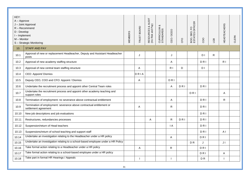| KEY:<br>$A - Approve$<br>D - Develop<br>I - Implement<br>M - Monitor | J - Joint Approval<br>$R - Recommend$<br>S - Strategic Monitoring                             | MEMBERS | TRUST BOARD | RESOURCES & AUDIT<br>(Inc Risk and Pay) | CURRICULUM &<br>STANDARDS | CEO/DCEO       | CFO            | BOO, SBO, FO<br>ESTATES OFFICER | coo            | <b>GB</b> | <b>HEADTEACHERS</b> | <b>CLERK</b> |
|----------------------------------------------------------------------|-----------------------------------------------------------------------------------------------|---------|-------------|-----------------------------------------|---------------------------|----------------|----------------|---------------------------------|----------------|-----------|---------------------|--------------|
| 10.                                                                  | <b>STAFF AND PAY</b>                                                                          |         |             |                                         |                           |                |                |                                 |                |           |                     |              |
| 10.1                                                                 | Approval of new or replacement Headteacher, Deputy and Assistant Headteacher<br>posts         |         | J           |                                         |                           | J              |                |                                 | D <sub>1</sub> | R.        |                     |              |
| 10.2                                                                 | Approval of new academy staffing structure                                                    |         |             |                                         |                           | A              |                |                                 | <b>DRI</b>     |           | R <sub>1</sub>      |              |
| 10.3                                                                 | Approval of new central team staffing structure                                               |         | A           |                                         |                           | R <sub>1</sub> | D              |                                 | D <sub>1</sub> |           |                     |              |
| 10.4                                                                 | CEO: Appoint/ Dismiss                                                                         |         | DRIA        |                                         |                           |                |                |                                 |                |           |                     |              |
| 10.5                                                                 | Deputy CEO, COO and CFO: Appoint / Dismiss                                                    |         | Α           |                                         |                           | <b>DRI</b>     |                |                                 |                |           |                     |              |
| 10.6                                                                 | Undertake the recruitment process and appoint other Central Team roles                        |         |             |                                         |                           | A              | D <sub>R</sub> |                                 | <b>DRI</b>     |           |                     |              |
| 10.7                                                                 | Undertake the recruitment process and appoint other academy teaching and<br>support roles     |         |             |                                         |                           |                |                | DRI                             |                |           | A                   |              |
| 10.8                                                                 | Termination of employment: no severance above contractual entitlement                         |         |             |                                         |                           | A              |                |                                 | DRI            |           | R                   |              |
| 10.9                                                                 | Termination of employment: severance above contractual entitlement or<br>settlement agreement |         | Α           |                                         |                           | R              |                |                                 | <b>DRI</b>     |           |                     |              |
| 10.10                                                                | New job descriptions and job evaluations                                                      |         |             |                                         |                           |                |                |                                 | <b>DRI</b>     |           |                     |              |
| 10.11                                                                | Restructures, redundancies processes                                                          |         |             | A                                       |                           | ${\sf R}$      | <b>DRI</b>     |                                 | <b>DRI</b>     |           |                     |              |
| 10.12                                                                | Suspension/return of Head teachers                                                            |         |             |                                         |                           | $\mathsf{I}$ A |                |                                 | <b>DRI</b>     |           |                     |              |
| 10.13                                                                | Suspensions/return of school teaching and support staff                                       |         |             |                                         |                           |                |                |                                 | DRI            |           | A <sub>1</sub>      |              |
| 10.14                                                                | Undertake an investigation relating to the Headteacher under a HR policy                      |         |             |                                         |                           | A              |                |                                 | <b>DRI</b>     |           |                     |              |
| 10.15                                                                | Undertake an investigation relating to a school-based employee under a HR Policy              |         |             |                                         |                           |                |                | D <sub>R</sub>                  | J              |           | J <sub>1</sub>      |              |
| 10.16                                                                | Take formal action relating to a Headteacher under a HR policy                                |         | Α           |                                         |                           | R              |                |                                 | <b>DRI</b>     |           |                     |              |
| 10.17                                                                | Take formal action relating to a school-based employee under a HR policy                      |         |             |                                         |                           |                |                |                                 | <b>DRI</b>     |           | A                   |              |
| 10.18                                                                | Take part in formal HR Hearings / Appeals                                                     |         |             |                                         |                           |                |                |                                 | D <sub>R</sub> |           | л                   |              |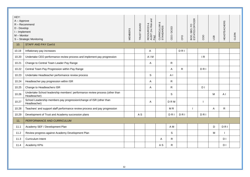| KEY:<br>$A - Approve$<br>D - Develop<br>I-Implement<br>$M -$ Monitor | R - Recommend<br>S - Strategic Monitoring                                                   | <b>MEMBERS</b> | TRUST BOARD    | and<br>RESOURCES &<br>AUDIT (Inc Risk a<br>Pay) | CURRICULUM &<br>STANDARDS | CEO / DCEO     | CFO | BOO, SBO, FO<br>ESTATES OFFICER | COO            | <b>GB</b> | <b>HEADTEACHERS</b> | <b>CLERK</b> |
|----------------------------------------------------------------------|---------------------------------------------------------------------------------------------|----------------|----------------|-------------------------------------------------|---------------------------|----------------|-----|---------------------------------|----------------|-----------|---------------------|--------------|
| 10.                                                                  | <b>STAFF AND PAY Cont'd</b>                                                                 |                |                |                                                 |                           |                |     |                                 |                |           |                     |              |
| 10.19                                                                | Inflationary pay increases                                                                  |                |                | Α                                               |                           |                | DRI |                                 |                |           |                     |              |
| 10.20                                                                | Undertake CEO performance review process and implement pay progression                      |                |                | AIM                                             |                           |                |     |                                 | IR             |           |                     |              |
| 10.21                                                                | Change to Central Team Leader Pay Range                                                     |                |                | Α                                               |                           | R.             |     |                                 |                |           |                     |              |
| 10.22                                                                | Central Team Pay Progression within Pay Range                                               |                |                |                                                 |                           | Α              | R   |                                 | <b>DRI</b>     |           |                     |              |
| 10.23                                                                | Undertake Headteacher performance review process                                            |                |                | S                                               |                           | AI             |     |                                 |                |           |                     |              |
| 10.24                                                                | Headteacher pay progression within ISR                                                      |                |                | Α                                               |                           | R.             |     |                                 |                |           |                     |              |
| 10.25                                                                | Change to Headteachers ISR                                                                  |                |                | Α                                               |                           | R.             |     |                                 | D <sub>1</sub> |           |                     |              |
| 10.26                                                                | Undertake School leadership members' performance review process (other than<br>Headteacher) |                |                |                                                 |                           | S              |     |                                 |                | M         | A <sub>l</sub>      |              |
| 10.27                                                                | School Leadership members pay progression/change of ISR (other than<br>Headteacher)         |                |                | Α                                               |                           | <b>DRM</b>     |     |                                 |                |           |                     |              |
| 10.28                                                                | Teachers' and support staff performance review process and pay progression                  |                |                |                                                 |                           | M <sub>R</sub> |     |                                 |                | A         | R                   |              |
| 10.29                                                                | Development of Trust and Academy succession plans                                           |                | A <sub>S</sub> |                                                 |                           | DRI            | DRI |                                 | DRI            |           |                     |              |
| 11.                                                                  | PERFORMANCE AND CURRICULUM                                                                  |                |                |                                                 |                           |                |     |                                 |                |           |                     |              |
| 11.1                                                                 | Academy SEF / Development Plan                                                              |                |                |                                                 |                           | A M            |     |                                 |                | D         | DRI                 |              |
| 11.2                                                                 | Review progress against Academy Development Plan                                            |                |                |                                                 |                           | S              |     |                                 |                | м         |                     |              |
| 11.3                                                                 | Curriculum Intent                                                                           |                |                |                                                 | A                         | $\mathsf{R}$   |     |                                 |                |           | D <sub>1</sub>      |              |
| 11.4                                                                 | Academy KPIs                                                                                |                |                |                                                 | A S                       | $\mathsf{R}$   |     |                                 |                |           | D <sub>1</sub>      |              |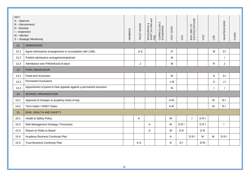| KEY:<br>$A - Approve$<br>D - Develop<br>I-Implement<br>M - Monitor | $R - Recommend$<br>S - Strategic Monitoring                        | <b>MEMBERS</b> | TRUST BOARD    | and<br>RESOURCES &<br>AUDIT (Inc Risk a<br>Pay) | CURRICULUM &<br>STANDARDS | CEO / DCEO | CFO            | BOO, SBO, FO<br>ESTATES OFFICER | COO             | <b>GB</b> | <b>HEADTEACHERS</b> | <b>CLERK</b> |
|--------------------------------------------------------------------|--------------------------------------------------------------------|----------------|----------------|-------------------------------------------------|---------------------------|------------|----------------|---------------------------------|-----------------|-----------|---------------------|--------------|
| 12.                                                                | <b>ADMISSIONS</b>                                                  |                |                |                                                 |                           |            |                |                                 |                 |           |                     |              |
| 12.1                                                               | Agree Admissions arrangements in consultation with LGBs            |                | A <sub>S</sub> |                                                 |                           | R          |                |                                 |                 | M         | D <sub>1</sub>      |              |
| 12.2                                                               | Publish admissions arrangements/policies                           |                |                |                                                 |                           | M          |                |                                 |                 |           |                     |              |
| 12.3                                                               | Admittance over PAN/refusal of place                               |                | J              |                                                 |                           | М          |                |                                 |                 | R         | J                   |              |
| 13.                                                                | PUPIL BEHAVIOUR                                                    |                |                |                                                 |                           |            |                |                                 |                 |           |                     |              |
| 13.1                                                               | Fixed term Exclusion                                               |                |                |                                                 |                           | М          |                |                                 |                 | S         | AI                  |              |
| 13.2                                                               | <b>Permanent Exclusions</b>                                        |                |                |                                                 |                           | J M        |                |                                 |                 | S         | JI                  |              |
| 13.3                                                               | Appointment of panel to hear appeals against a permanent exclusion |                |                |                                                 |                           | М          |                |                                 |                 |           |                     |              |
| 14.                                                                | <b>SCHOOL ORGANISATION</b>                                         |                |                |                                                 |                           |            |                |                                 |                 |           |                     |              |
| 14.1                                                               | Approval of changes to academy times of day                        |                |                |                                                 |                           | A M        |                |                                 |                 | M         | R <sub>1</sub>      |              |
| 14.2                                                               | Term Dates / INSET Dates                                           |                |                |                                                 |                           | A M        |                |                                 |                 | M         | R <sub>1</sub>      |              |
| 15.                                                                | RISK, HEALTH AND SAFETY                                            |                |                |                                                 |                           |            |                |                                 |                 |           |                     |              |
| 15.1                                                               | Health & Safety Policy                                             |                | Α              |                                                 |                           | M          |                |                                 | DRI             |           |                     |              |
| 15.2                                                               | Risk Management Strategy / Processes                               |                |                | A                                               |                           | M          | DRI            |                                 | DRI             |           |                     |              |
| 15.3                                                               | Report on Risks to Board                                           |                |                | S                                               |                           | M          | D <sub>R</sub> |                                 | D <sub>R</sub>  |           |                     |              |
| 15.4                                                               | Academy Business Continuity Plan                                   |                |                |                                                 |                           | A          |                | <b>DRI</b>                      | M               | M         | <b>DRI</b>          |              |
| 15.5                                                               | <b>Trust Business Continuity Plan</b>                              |                | A <sub>S</sub> |                                                 |                           | ${\sf R}$  | D <sub>1</sub> |                                 | D <sub>RI</sub> |           |                     |              |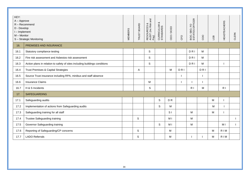| KEY:<br>$A - Approve$<br>D - Develop<br>I-Implement<br>M - Monitor | $R - Recommend$<br>S - Strategic Monitoring                                | <b>MEMBERS</b> | TRUST BOARD | and<br>RESOURCES &<br>AUDIT (Inc Risk a<br>Pay) | ∞<br>CURRICULUM &<br>STANDARDS | CEO / DCEO     | CFO | ), FO<br>OFFICER<br>BOO, SBO,<br>ESTATES C | COO | <b>GB</b> | <b>HEADTEACHERS</b> | <b>CLERK</b> |
|--------------------------------------------------------------------|----------------------------------------------------------------------------|----------------|-------------|-------------------------------------------------|--------------------------------|----------------|-----|--------------------------------------------|-----|-----------|---------------------|--------------|
| 16.                                                                | PREMISES AND INSURANCE                                                     |                |             |                                                 |                                |                |     |                                            |     |           |                     |              |
| 16.1                                                               | Statutory compliance testing                                               |                |             | S                                               |                                |                |     | <b>DRI</b>                                 | M   |           |                     |              |
| 16.2                                                               | Fire risk assessment and Asbestos risk assessment                          |                |             | S                                               |                                |                |     | DRI                                        | M   |           |                     |              |
| 16.3                                                               | Action plans in relation to safety of sites including buildings conditions |                |             | S                                               |                                |                |     | <b>DRI</b>                                 | M   |           |                     |              |
| 16.4                                                               | Trust Premises & Capital Strategies                                        |                | A           |                                                 |                                | M              | DRI |                                            | DRI |           |                     |              |
| 16.5                                                               | Source Trust insurance including RPA, minibus and staff absence            |                |             |                                                 |                                |                |     |                                            |     |           |                     |              |
| 16.6                                                               | <b>Insurance Claims</b>                                                    |                |             | M                                               |                                |                |     |                                            |     |           |                     |              |
| 16.7                                                               | H & S Incidents                                                            |                |             | S                                               |                                |                |     | R <sub>1</sub>                             | M   |           | R <sub>1</sub>      |              |
| 17.                                                                | <b>SAFEGUARDING</b>                                                        |                |             |                                                 |                                |                |     |                                            |     |           |                     |              |
| 17.1                                                               | Safeguarding audits                                                        |                |             |                                                 | S                              | D <sub>R</sub> |     |                                            |     | M         |                     |              |
| 17.2                                                               | Implementation of actions from Safeguarding audits                         |                |             |                                                 | S                              | M              |     |                                            |     | м         |                     |              |
| 17.3                                                               | Safeguarding training for all staff                                        |                |             |                                                 |                                | S <sub>1</sub> |     | M                                          |     | M         |                     |              |
| 17.4                                                               | Trustee Safeguarding training                                              |                | S           |                                                 |                                | M I            |     | M                                          |     |           |                     |              |
| 17.5                                                               | Governor Safeguarding training                                             |                |             |                                                 | S                              | M <sub>1</sub> |     | M                                          |     |           | M <sub>l</sub>      |              |
| 17.6                                                               | Reporting of Safeguarding/CP concerns                                      |                | S           |                                                 |                                | M              |     |                                            |     | M         | <b>RIM</b>          |              |
| 17.7                                                               | <b>LADO Referrals</b>                                                      |                | S           |                                                 |                                | M              |     |                                            |     | м         | RIM                 |              |